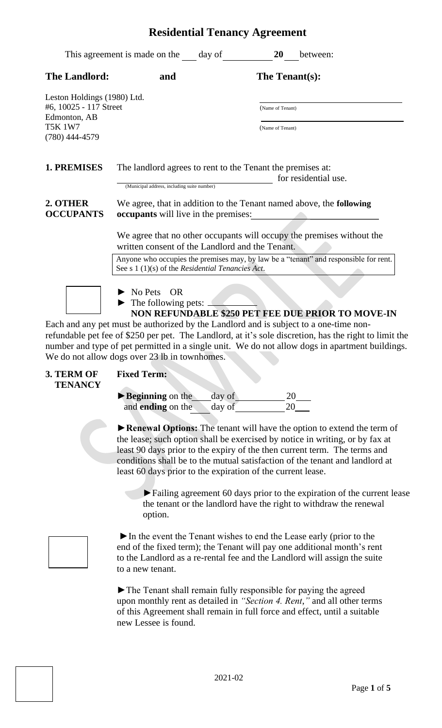|                                                                       | This agreement is made on the day of                                                                      | 20<br>between:                                                                                                                              |
|-----------------------------------------------------------------------|-----------------------------------------------------------------------------------------------------------|---------------------------------------------------------------------------------------------------------------------------------------------|
| <b>The Landlord:</b>                                                  | and                                                                                                       | The Tenant(s):                                                                                                                              |
| Leston Holdings (1980) Ltd.<br>#6, 10025 - 117 Street<br>Edmonton, AB |                                                                                                           | (Name of Tenant)                                                                                                                            |
| <b>T5K 1W7</b><br>$(780)$ 444-4579                                    |                                                                                                           | (Name of Tenant)                                                                                                                            |
| 1. PREMISES                                                           | The landlord agrees to rent to the Tenant the premises at:<br>(Municipal address, including suite number) | for residential use.                                                                                                                        |
| 2. OTHER<br><b>OCCUPANTS</b>                                          | occupants will live in the premises:                                                                      | We agree, that in addition to the Tenant named above, the following                                                                         |
|                                                                       | written consent of the Landlord and the Tenant.                                                           | We agree that no other occupants will occupy the premises without the                                                                       |
|                                                                       | See s $1(1)(s)$ of the <i>Residential Tenancies Act</i> .                                                 | Anyone who occupies the premises may, by law be a "tenant" and responsible for rent.                                                        |
|                                                                       | No Pets<br><b>OR</b><br>The following pets: _                                                             | NON REFUNDABLE \$250 PET FEE DUE PRIOR TO MOVE-IN<br>Fook and our not word he outhorized by the Londlond and is subject to a green time new |

Each and any pet must be authorized by the Landlord and is subject to a one-time nonrefundable pet fee of \$250 per pet. The Landlord, at it's sole discretion, has the right to limit the number and type of pet permitted in a single unit. We do not allow dogs in apartment buildings. We do not allow dogs over 23 lb in townhomes.

- **3. TERM OF Fixed Term: TENANCY**
	-

| $\blacktriangleright$ Beginning on the | day of |  |
|----------------------------------------|--------|--|
| and <b>ending</b> on the               | day of |  |

**►Renewal Options:** The tenant will have the option to extend the term of the lease; such option shall be exercised by notice in writing, or by fax at least 90 days prior to the expiry of the then current term. The terms and conditions shall be to the mutual satisfaction of the tenant and landlord at least 60 days prior to the expiration of the current lease.

►Failing agreement 60 days prior to the expiration of the current lease the tenant or the landlord have the right to withdraw the renewal option.

►In the event the Tenant wishes to end the Lease early (prior to the end of the fixed term); the Tenant will pay one additional month's rent to the Landlord as a re-rental fee and the Landlord will assign the suite to a new tenant.

►The Tenant shall remain fully responsible for paying the agreed upon monthly rent as detailed in *"Section 4. Rent*,*"* and all other terms of this Agreement shall remain in full force and effect, until a suitable new Lessee is found.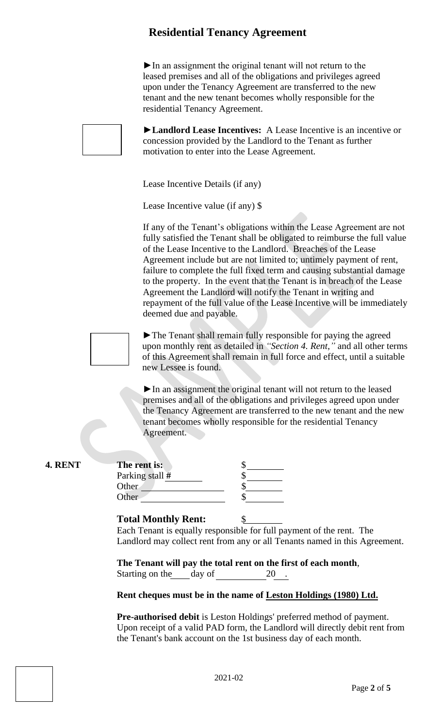$\blacktriangleright$  In an assignment the original tenant will not return to the leased premises and all of the obligations and privileges agreed upon under the Tenancy Agreement are transferred to the new tenant and the new tenant becomes wholly responsible for the residential Tenancy Agreement.

►**Landlord Lease Incentives:** A Lease Incentive is an incentive or concession provided by the Landlord to the Tenant as further motivation to enter into the Lease Agreement.

Lease Incentive Details (if any)

Lease Incentive value (if any) \$

If any of the Tenant's obligations within the Lease Agreement are not fully satisfied the Tenant shall be obligated to reimburse the full value of the Lease Incentive to the Landlord. Breaches of the Lease Agreement include but are not limited to; untimely payment of rent, failure to complete the full fixed term and causing substantial damage to the property. In the event that the Tenant is in breach of the Lease Agreement the Landlord will notify the Tenant in writing and repayment of the full value of the Lease Incentive will be immediately deemed due and payable.



**4. RENT The rent is:** \$

 ►The Tenant shall remain fully responsible for paying the agreed upon monthly rent as detailed in *"Section 4. Rent*,*"* and all other terms of this Agreement shall remain in full force and effect, until a suitable new Lessee is found.

►In an assignment the original tenant will not return to the leased premises and all of the obligations and privileges agreed upon under the Tenancy Agreement are transferred to the new tenant and the new tenant becomes wholly responsible for the residential Tenancy Agreement.

| The rent is:      |  |
|-------------------|--|
| Parking stall $#$ |  |
| Other             |  |
| Other             |  |

### **Total Monthly Rent:** \$

Each Tenant is equally responsible for full payment of the rent. The Landlord may collect rent from any or all Tenants named in this Agreement.

**The Tenant will pay the total rent on the first of each month**, Starting on the day of 20

### **Rent cheques must be in the name of Leston Holdings (1980) Ltd.**

**Pre-authorised debit** is Leston Holdings' preferred method of payment. Upon receipt of a valid PAD form, the Landlord will directly debit rent from the Tenant's bank account on the 1st business day of each month.

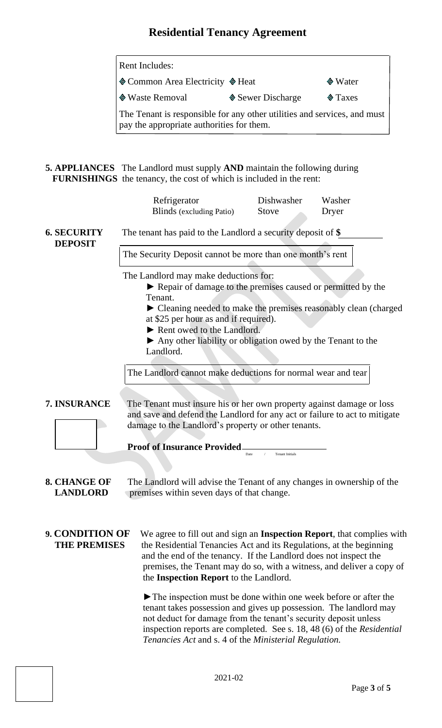| <b>Rent Includes:</b>                                                                                                 |                   |                 |  |
|-----------------------------------------------------------------------------------------------------------------------|-------------------|-----------------|--|
| ♦ Common Area Electricity ♦ Heat                                                                                      |                   | $\bullet$ Water |  |
| ♦ Waste Removal                                                                                                       | ♦ Sewer Discharge | $\otimes$ Taxes |  |
| The Tenant is responsible for any other utilities and services, and must<br>pay the appropriate authorities for them. |                   |                 |  |

**5. APPLIANCES** The Landlord must supply **AND** maintain the following during  **FURNISHINGS** the tenancy, the cost of which is included in the rent:

|                                                                                                                                                                                                                            | Refrigerator<br><b>Blinds</b> (excluding Patio)                                                                                                                                                                                                                                                                                                                  | Dishwasher<br>Stove | Washer<br>Dryer |  |  |
|----------------------------------------------------------------------------------------------------------------------------------------------------------------------------------------------------------------------------|------------------------------------------------------------------------------------------------------------------------------------------------------------------------------------------------------------------------------------------------------------------------------------------------------------------------------------------------------------------|---------------------|-----------------|--|--|
| <b>6. SECURITY</b><br><b>DEPOSIT</b>                                                                                                                                                                                       | The tenant has paid to the Landlord a security deposit of $\$$                                                                                                                                                                                                                                                                                                   |                     |                 |  |  |
|                                                                                                                                                                                                                            | The Security Deposit cannot be more than one month's rent                                                                                                                                                                                                                                                                                                        |                     |                 |  |  |
|                                                                                                                                                                                                                            | The Landlord may make deductions for:<br>► Repair of damage to the premises caused or permitted by the<br>Tenant.<br>• Cleaning needed to make the premises reasonably clean (charged<br>at \$25 per hour as and if required).<br>Rent owed to the Landlord.<br>• Any other liability or obligation owed by the Tenant to the<br>Landlord.                       |                     |                 |  |  |
|                                                                                                                                                                                                                            | The Landlord cannot make deductions for normal wear and tear                                                                                                                                                                                                                                                                                                     |                     |                 |  |  |
| 7. INSURANCE<br>The Tenant must insure his or her own property against damage or loss<br>and save and defend the Landlord for any act or failure to act to mitigate<br>damage to the Landlord's property or other tenants. |                                                                                                                                                                                                                                                                                                                                                                  |                     |                 |  |  |
| <b>Proof of Insurance Provided</b><br>Date                                                                                                                                                                                 |                                                                                                                                                                                                                                                                                                                                                                  |                     |                 |  |  |
| <b>8. CHANGE OF</b><br>The Landlord will advise the Tenant of any changes in ownership of the<br><b>LANDLORD</b><br>premises within seven days of that change.                                                             |                                                                                                                                                                                                                                                                                                                                                                  |                     |                 |  |  |
| 9. CONDITION OF<br><b>THE PREMISES</b>                                                                                                                                                                                     | We agree to fill out and sign an Inspection Report, that complies with<br>the Residential Tenancies Act and its Regulations, at the beginning<br>and the end of the tenancy. If the Landlord does not inspect the<br>premises, the Tenant may do so, with a witness, and deliver a copy of<br>the Inspection Report to the Landlord.                             |                     |                 |  |  |
|                                                                                                                                                                                                                            | $\blacktriangleright$ The inspection must be done within one week before or after the<br>tenant takes possession and gives up possession. The landlord may<br>not deduct for damage from the tenant's security deposit unless<br>inspection reports are completed. See s. 18, 48 (6) of the Residential<br>Tenancies Act and s. 4 of the Ministerial Regulation. |                     |                 |  |  |

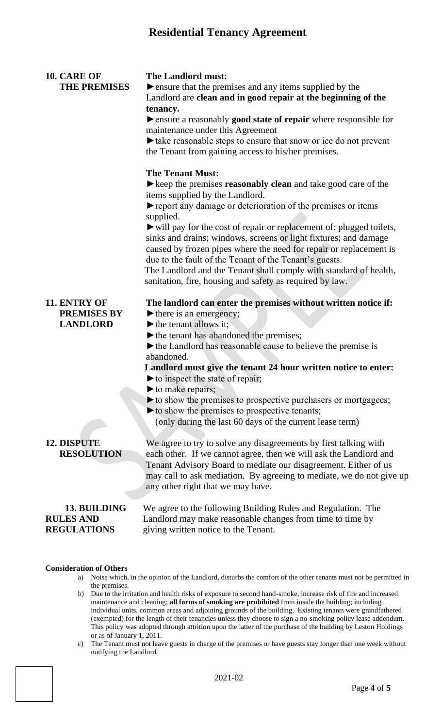| 10. CARE OF<br><b>THE PREMISES</b>                     | <b>The Landlord must:</b><br>lacktriangleright ensure that the premises and any items supplied by the<br>Landlord are clean and in good repair at the beginning of the<br>tenancy.<br>lacktriangleright ensure a reasonably good state of repair where responsible for<br>maintenance under this Agreement<br>ightharpoonup take reasonable steps to ensure that snow or ice do not prevent<br>the Tenant from gaining access to his/her premises.<br><b>The Tenant Must:</b><br>$\blacktriangleright$ keep the premises <b>reasonably clean</b> and take good care of the<br>items supplied by the Landlord.<br>report any damage or deterioration of the premises or items<br>supplied.<br>ightharpoonup will pay for the cost of repair or replacement of: plugged toilets,<br>sinks and drains; windows, screens or light fixtures; and damage<br>caused by frozen pipes where the need for repair or replacement is<br>due to the fault of the Tenant of the Tenant's guests.<br>The Landlord and the Tenant shall comply with standard of health,<br>sanitation, fire, housing and safety as required by law. |
|--------------------------------------------------------|---------------------------------------------------------------------------------------------------------------------------------------------------------------------------------------------------------------------------------------------------------------------------------------------------------------------------------------------------------------------------------------------------------------------------------------------------------------------------------------------------------------------------------------------------------------------------------------------------------------------------------------------------------------------------------------------------------------------------------------------------------------------------------------------------------------------------------------------------------------------------------------------------------------------------------------------------------------------------------------------------------------------------------------------------------------------------------------------------------------------|
| 11. ENTRY OF<br><b>PREMISES BY</b><br><b>LANDLORD</b>  | The landlord can enter the premises without written notice if:<br>there is an emergency;<br>$\blacktriangleright$ the tenant allows it;<br>the tenant has abandoned the premises;<br>$\blacktriangleright$ the Landlord has reasonable cause to believe the premise is<br>abandoned.<br>Landlord must give the tenant 24 hour written notice to enter:<br>to inspect the state of repair;<br>$\blacktriangleright$ to make repairs;<br>to show the premises to prospective purchasers or mortgagees;<br>$\blacktriangleright$ to show the premises to prospective tenants;<br>(only during the last 60 days of the current lease term)                                                                                                                                                                                                                                                                                                                                                                                                                                                                              |
| <b>12. DISPUTE</b><br><b>RESOLUTION</b>                | We agree to try to solve any disagreements by first talking with<br>each other. If we cannot agree, then we will ask the Landlord and<br>Tenant Advisory Board to mediate our disagreement. Either of us<br>may call to ask mediation. By agreeing to mediate, we do not give up<br>any other right that we may have.                                                                                                                                                                                                                                                                                                                                                                                                                                                                                                                                                                                                                                                                                                                                                                                               |
| 13. BUILDING<br><b>RULES AND</b><br><b>REGULATIONS</b> | We agree to the following Building Rules and Regulation. The<br>Landlord may make reasonable changes from time to time by<br>giving written notice to the Tenant.                                                                                                                                                                                                                                                                                                                                                                                                                                                                                                                                                                                                                                                                                                                                                                                                                                                                                                                                                   |

#### **Consideration of Others**

- a) Noise which, in the opinion of the Landlord, disturbs the comfort of the other tenants must not be permitted in the premises.
- b) Due to the irritation and health risks of exposure to second hand-smoke, increase risk of fire and increased maintenance and cleaning; **all forms of smoking are prohibited** from inside the building; including individual units, common areas and adjoining grounds of the building. Existing tenants were grandfathered (exempted) for the length of their tenancies unless they choose to sign a no-smoking policy lease addendum. This policy was adopted through attrition upon the latter of the purchase of the building by Leston Holdings or as of January 1, 2011.
- c) The Tenant must not leave guests in charge of the premises or have guests stay longer than one week without notifying the Landlord.